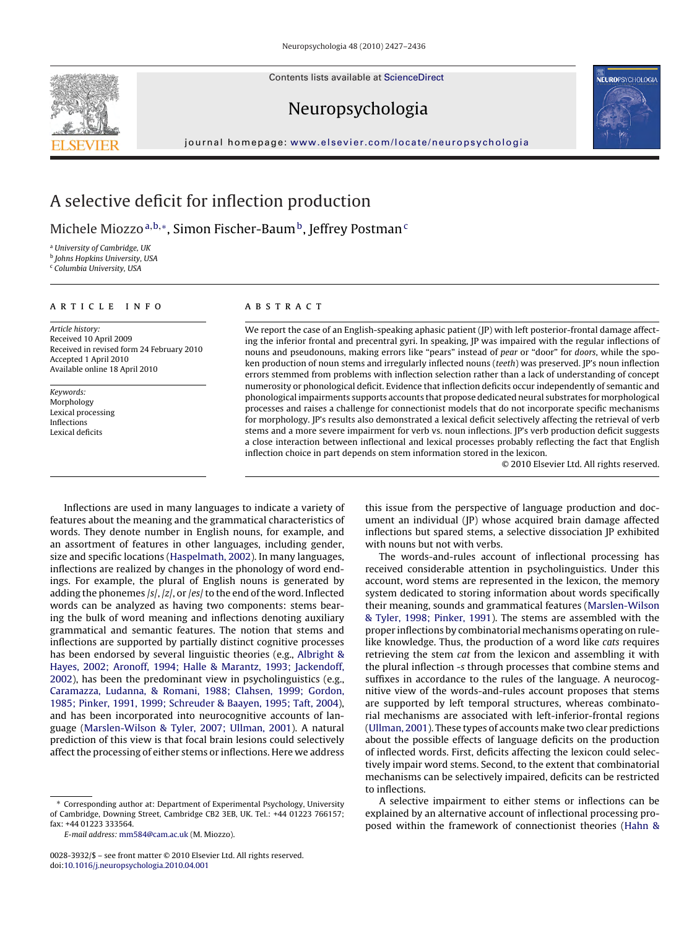Contents lists available at [ScienceDirect](http://www.sciencedirect.com/science/journal/00283932)



# journal homepage: [www.elsevier.com/locate/neuropsychologia](http://www.elsevier.com/locate/neuropsychologia)

Neuropsychologia

# A selective deficit for inflection production

Michele Miozzo<sup>a,b,∗</sup>, Simon Fischer-Baum<sup>b</sup>, Jeffrey Postman<sup>c</sup>

<sup>a</sup> University of Cambridge, UK

**b** Johns Hopkins University, USA

<sup>c</sup> Columbia University, USA

# article info

Article history: Received 10 April 2009 Received in revised form 24 February 2010 Accepted 1 April 2010 Available online 18 April 2010

Keywords: Morphology Lexical processing Inflections Lexical deficits

# **ABSTRACT**

We report the case of an English-speaking aphasic patient (JP) with left posterior-frontal damage affecting the inferior frontal and precentral gyri. In speaking, JP was impaired with the regular inflections of nouns and pseudonouns, making errors like "pears" instead of pear or "door" for doors, while the spoken production of noun stems and irregularly inflected nouns (teeth) was preserved. JP's noun inflection errors stemmed from problems with inflection selection rather than a lack of understanding of concept numerosity or phonological deficit. Evidence that inflection deficits occur independently of semantic and phonological impairments supports accounts that propose dedicated neural substrates for morphological processes and raises a challenge for connectionist models that do not incorporate specific mechanisms for morphology. JP's results also demonstrated a lexical deficit selectively affecting the retrieval of verb stems and a more severe impairment for verb vs. noun inflections. JP's verb production deficit suggests a close interaction between inflectional and lexical processes probably reflecting the fact that English inflection choice in part depends on stem information stored in the lexicon.

© 2010 Elsevier Ltd. All rights reserved.

Inflections are used in many languages to indicate a variety of features about the meaning and the grammatical characteristics of words. They denote number in English nouns, for example, and an assortment of features in other languages, including gender, size and specific locations [\(Haspelmath, 2002\).](#page-8-0) In many languages, inflections are realized by changes in the phonology of word endings. For example, the plural of English nouns is generated by adding the phonemes /s/, /z/, or /es/ to the end of the word. Inflected words can be analyzed as having two components: stems bearing the bulk of word meaning and inflections denoting auxiliary grammatical and semantic features. The notion that stems and inflections are supported by partially distinct cognitive processes has been endorsed by several linguistic theories (e.g., [Albright &](#page-8-0) [Hayes, 2002; Aronoff, 1994; Halle & Marantz, 1993; Jackendoff,](#page-8-0) [2002\),](#page-8-0) has been the predominant view in psycholinguistics (e.g., [Caramazza, Ludanna, & Romani, 1988; Clahsen, 1999; Gordon,](#page-8-0) [1985; Pinker, 1991, 1999; Schreuder & Baayen, 1995; Taft, 2004\),](#page-8-0) and has been incorporated into neurocognitive accounts of language ([Marslen-Wilson & Tyler, 2007; Ullman, 2001\).](#page-8-0) A natural prediction of this view is that focal brain lesions could selectively affect the processing of either stems or inflections. Here we address

this issue from the perspective of language production and document an individual (JP) whose acquired brain damage affected inflections but spared stems, a selective dissociation JP exhibited with nouns but not with verbs.

The words-and-rules account of inflectional processing has received considerable attention in psycholinguistics. Under this account, word stems are represented in the lexicon, the memory system dedicated to storing information about words specifically their meaning, sounds and grammatical features [\(Marslen-Wilson](#page-8-0) [& Tyler, 1998; Pinker, 1991\).](#page-8-0) The stems are assembled with the proper inflections by combinatorial mechanisms operating on rulelike knowledge. Thus, the production of a word like cats requires retrieving the stem cat from the lexicon and assembling it with the plural inflection -s through processes that combine stems and suffixes in accordance to the rules of the language. A neurocognitive view of the words-and-rules account proposes that stems are supported by left temporal structures, whereas combinatorial mechanisms are associated with left-inferior-frontal regions [\(Ullman, 2001\).](#page-8-0) These types of accounts make two clear predictions about the possible effects of language deficits on the production of inflected words. First, deficits affecting the lexicon could selectively impair word stems. Second, to the extent that combinatorial mechanisms can be selectively impaired, deficits can be restricted to inflections.

A selective impairment to either stems or inflections can be explained by an alternative account of inflectional processing proposed within the framework of connectionist theories ([Hahn &](#page-8-0)

<sup>∗</sup> Corresponding author at: Department of Experimental Psychology, University of Cambridge, Downing Street, Cambridge CB2 3EB, UK. Tel.: +44 01223 766157; fax: +44 01223 333564.

E-mail address: [mm584@cam.ac.uk](mailto:mm584@cam.ac.uk) (M. Miozzo).

<sup>0028-3932/\$ –</sup> see front matter © 2010 Elsevier Ltd. All rights reserved. doi:[10.1016/j.neuropsychologia.2010.04.001](dx.doi.org/10.1016/j.neuropsychologia.2010.04.001)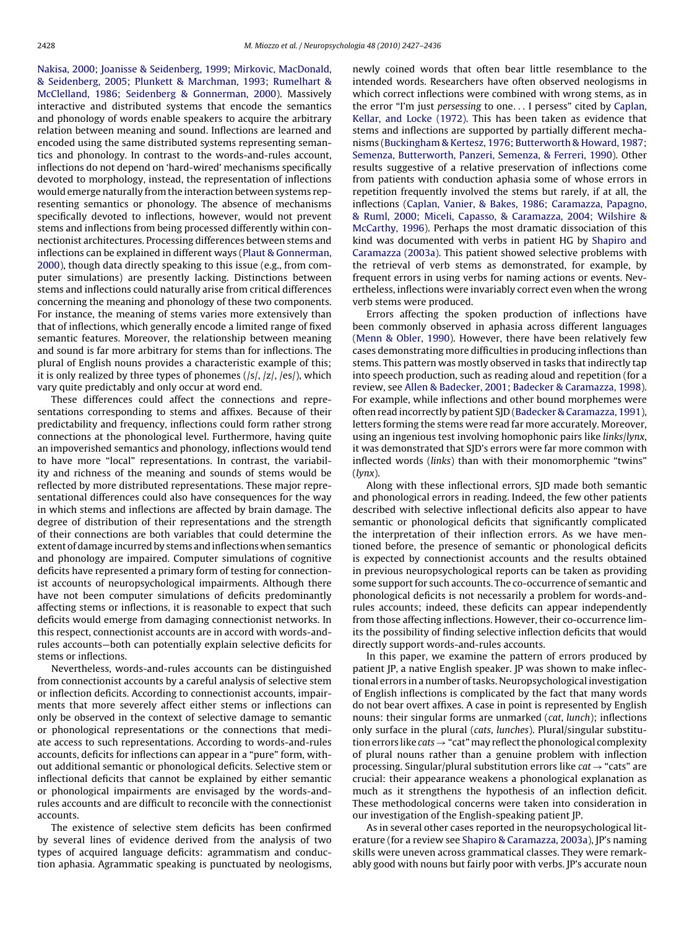[Nakisa, 2000; Joanisse & Seidenberg, 1999; Mirkovic, MacDonald,](#page-8-0) [& Seidenberg, 2005; Plunkett & Marchman, 1993; Rumelhart &](#page-8-0) [McClelland, 1986; Seidenberg & Gonnerman, 2000\).](#page-8-0) Massively interactive and distributed systems that encode the semantics and phonology of words enable speakers to acquire the arbitrary relation between meaning and sound. Inflections are learned and encoded using the same distributed systems representing semantics and phonology. In contrast to the words-and-rules account, inflections do not depend on 'hard-wired' mechanisms specifically devoted to morphology, instead, the representation of inflections would emerge naturally from the interaction between systems representing semantics or phonology. The absence of mechanisms specifically devoted to inflections, however, would not prevent stems and inflections from being processed differently within connectionist architectures. Processing differences between stems and inflections can be explained in different ways [\(Plaut & Gonnerman,](#page-8-0) [2000\),](#page-8-0) though data directly speaking to this issue (e.g., from computer simulations) are presently lacking. Distinctions between stems and inflections could naturally arise from critical differences concerning the meaning and phonology of these two components. For instance, the meaning of stems varies more extensively than that of inflections, which generally encode a limited range of fixed semantic features. Moreover, the relationship between meaning and sound is far more arbitrary for stems than for inflections. The plural of English nouns provides a characteristic example of this; it is only realized by three types of phonemes  $(|s|, |z|, |\text{es}|)$ , which vary quite predictably and only occur at word end.

These differences could affect the connections and representations corresponding to stems and affixes. Because of their predictability and frequency, inflections could form rather strong connections at the phonological level. Furthermore, having quite an impoverished semantics and phonology, inflections would tend to have more "local" representations. In contrast, the variability and richness of the meaning and sounds of stems would be reflected by more distributed representations. These major representational differences could also have consequences for the way in which stems and inflections are affected by brain damage. The degree of distribution of their representations and the strength of their connections are both variables that could determine the extent of damage incurred by stems and inflections when semantics and phonology are impaired. Computer simulations of cognitive deficits have represented a primary form of testing for connectionist accounts of neuropsychological impairments. Although there have not been computer simulations of deficits predominantly affecting stems or inflections, it is reasonable to expect that such deficits would emerge from damaging connectionist networks. In this respect, connectionist accounts are in accord with words-andrules accounts—both can potentially explain selective deficits for stems or inflections.

Nevertheless, words-and-rules accounts can be distinguished from connectionist accounts by a careful analysis of selective stem or inflection deficits. According to connectionist accounts, impairments that more severely affect either stems or inflections can only be observed in the context of selective damage to semantic or phonological representations or the connections that mediate access to such representations. According to words-and-rules accounts, deficits for inflections can appear in a "pure" form, without additional semantic or phonological deficits. Selective stem or inflectional deficits that cannot be explained by either semantic or phonological impairments are envisaged by the words-andrules accounts and are difficult to reconcile with the connectionist accounts.

The existence of selective stem deficits has been confirmed by several lines of evidence derived from the analysis of two types of acquired language deficits: agrammatism and conduction aphasia. Agrammatic speaking is punctuated by neologisms, newly coined words that often bear little resemblance to the intended words. Researchers have often observed neologisms in which correct inflections were combined with wrong stems, as in the error "I'm just persessing to one... I persess" cited by [Caplan,](#page-8-0) [Kellar, and Locke \(1972\).](#page-8-0) This has been taken as evidence that stems and inflections are supported by partially different mechanisms ([Buckingham & Kertesz, 1976; Butterworth & Howard, 1987;](#page-8-0) [Semenza, Butterworth, Panzeri, Semenza, & Ferreri, 1990\).](#page-8-0) Other results suggestive of a relative preservation of inflections come from patients with conduction aphasia some of whose errors in repetition frequently involved the stems but rarely, if at all, the inflections ([Caplan, Vanier, & Bakes, 1986; Caramazza, Papagno,](#page-8-0) [& Ruml, 2000; Miceli, Capasso, & Caramazza, 2004; Wilshire &](#page-8-0) [McCarthy, 1996\).](#page-8-0) Perhaps the most dramatic dissociation of this kind was documented with verbs in patient HG by [Shapiro and](#page-8-0) [Caramazza \(2003a\). T](#page-8-0)his patient showed selective problems with the retrieval of verb stems as demonstrated, for example, by frequent errors in using verbs for naming actions or events. Nevertheless, inflections were invariably correct even when the wrong verb stems were produced.

Errors affecting the spoken production of inflections have been commonly observed in aphasia across different languages [\(Menn & Obler, 1990\).](#page-8-0) However, there have been relatively few cases demonstrating more difficulties in producing inflections than stems. This pattern was mostly observed in tasks that indirectly tap into speech production, such as reading aloud and repetition (for a review, see [Allen & Badecker, 2001; Badecker & Caramazza, 1998\).](#page-8-0) For example, while inflections and other bound morphemes were often read incorrectly by patient SJD ([Badecker & Caramazza, 1991\),](#page-8-0) letters forming the stems were read far more accurately. Moreover, using an ingenious test involving homophonic pairs like links/lynx, it was demonstrated that SJD's errors were far more common with inflected words (links) than with their monomorphemic "twins" (lynx).

Along with these inflectional errors, SJD made both semantic and phonological errors in reading. Indeed, the few other patients described with selective inflectional deficits also appear to have semantic or phonological deficits that significantly complicated the interpretation of their inflection errors. As we have mentioned before, the presence of semantic or phonological deficits is expected by connectionist accounts and the results obtained in previous neuropsychological reports can be taken as providing some support for such accounts. The co-occurrence of semantic and phonological deficits is not necessarily a problem for words-andrules accounts; indeed, these deficits can appear independently from those affecting inflections. However, their co-occurrence limits the possibility of finding selective inflection deficits that would directly support words-and-rules accounts.

In this paper, we examine the pattern of errors produced by patient JP, a native English speaker. JP was shown to make inflectional errors in a number of tasks. Neuropsychological investigation of English inflections is complicated by the fact that many words do not bear overt affixes. A case in point is represented by English nouns: their singular forms are unmarked (*cat*, *lunch*); inflections only surface in the plural (cats, lunches). Plural/singular substitution errors like cats  $\rightarrow$  "cat" may reflect the phonological complexity of plural nouns rather than a genuine problem with inflection processing. Singular/plural substitution errors like  $cat \rightarrow$  "cats" are crucial: their appearance weakens a phonological explanation as much as it strengthens the hypothesis of an inflection deficit. These methodological concerns were taken into consideration in our investigation of the English-speaking patient JP.

As in several other cases reported in the neuropsychological literature (for a review see [Shapiro & Caramazza, 2003a\),](#page-8-0) JP's naming skills were uneven across grammatical classes. They were remarkably good with nouns but fairly poor with verbs. JP's accurate noun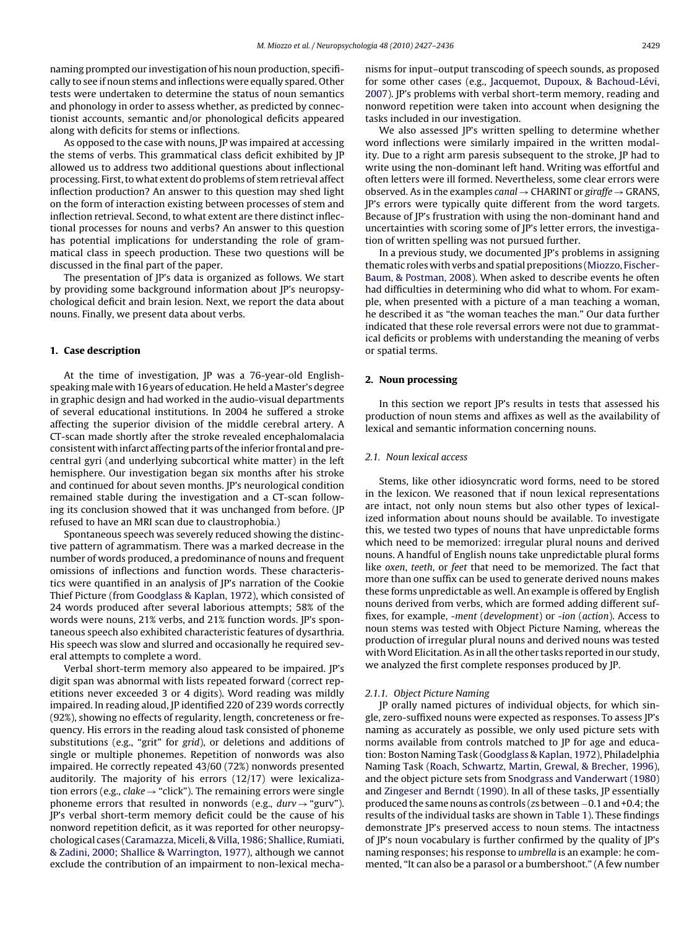<span id="page-2-0"></span>naming prompted our investigation of his noun production, specifically to see if noun stems and inflections were equally spared. Other tests were undertaken to determine the status of noun semantics and phonology in order to assess whether, as predicted by connectionist accounts, semantic and/or phonological deficits appeared along with deficits for stems or inflections.

As opposed to the case with nouns, JP was impaired at accessing the stems of verbs. This grammatical class deficit exhibited by JP allowed us to address two additional questions about inflectional processing. First, to what extent do problems of stem retrieval affect inflection production? An answer to this question may shed light on the form of interaction existing between processes of stem and inflection retrieval. Second, to what extent are there distinct inflectional processes for nouns and verbs? An answer to this question has potential implications for understanding the role of grammatical class in speech production. These two questions will be discussed in the final part of the paper.

The presentation of JP's data is organized as follows. We start by providing some background information about JP's neuropsychological deficit and brain lesion. Next, we report the data about nouns. Finally, we present data about verbs.

#### **1. Case description**

At the time of investigation, JP was a 76-year-old Englishspeaking male with 16 years of education. He held a Master's degree in graphic design and had worked in the audio-visual departments of several educational institutions. In 2004 he suffered a stroke affecting the superior division of the middle cerebral artery. A CT-scan made shortly after the stroke revealed encephalomalacia consistent with infarct affecting parts of the inferior frontal and precentral gyri (and underlying subcortical white matter) in the left hemisphere. Our investigation began six months after his stroke and continued for about seven months. JP's neurological condition remained stable during the investigation and a CT-scan following its conclusion showed that it was unchanged from before. (JP refused to have an MRI scan due to claustrophobia.)

Spontaneous speech was severely reduced showing the distinctive pattern of agrammatism. There was a marked decrease in the number of words produced, a predominance of nouns and frequent omissions of inflections and function words. These characteristics were quantified in an analysis of JP's narration of the Cookie Thief Picture (from [Goodglass & Kaplan, 1972\),](#page-8-0) which consisted of 24 words produced after several laborious attempts; 58% of the words were nouns, 21% verbs, and 21% function words. JP's spontaneous speech also exhibited characteristic features of dysarthria. His speech was slow and slurred and occasionally he required several attempts to complete a word.

Verbal short-term memory also appeared to be impaired. JP's digit span was abnormal with lists repeated forward (correct repetitions never exceeded 3 or 4 digits). Word reading was mildly impaired. In reading aloud, JP identified 220 of 239 words correctly (92%), showing no effects of regularity, length, concreteness or frequency. His errors in the reading aloud task consisted of phoneme substitutions (e.g., "grit" for grid), or deletions and additions of single or multiple phonemes. Repetition of nonwords was also impaired. He correctly repeated 43/60 (72%) nonwords presented auditorily. The majority of his errors (12/17) were lexicalization errors (e.g., clake  $\rightarrow$  "click"). The remaining errors were single phoneme errors that resulted in nonwords (e.g.,  $durv \rightarrow "gurv"$ ). JP's verbal short-term memory deficit could be the cause of his nonword repetition deficit, as it was reported for other neuropsychological cases [\(Caramazza, Miceli, & Villa, 1986; Shallice, Rumiati,](#page-8-0) [& Zadini, 2000; Shallice & Warrington, 1977\),](#page-8-0) although we cannot exclude the contribution of an impairment to non-lexical mechanisms for input–output transcoding of speech sounds, as proposed for some other cases (e.g., [Jacquemot, Dupoux, & Bachoud-Lévi,](#page-8-0) [2007\).](#page-8-0) JP's problems with verbal short-term memory, reading and nonword repetition were taken into account when designing the tasks included in our investigation.

We also assessed JP's written spelling to determine whether word inflections were similarly impaired in the written modality. Due to a right arm paresis subsequent to the stroke, JP had to write using the non-dominant left hand. Writing was effortful and often letters were ill formed. Nevertheless, some clear errors were observed. As in the examples canal  $\rightarrow$  CHARINT or giraffe  $\rightarrow$  GRANS, JP's errors were typically quite different from the word targets. Because of JP's frustration with using the non-dominant hand and uncertainties with scoring some of JP's letter errors, the investigation of written spelling was not pursued further.

In a previous study, we documented JP's problems in assigning thematic roles with verbs and spatial prepositions [\(Miozzo, Fischer-](#page-8-0)Baum, [& Postman, 2008\).](#page-8-0) When asked to describe events he often had difficulties in determining who did what to whom. For example, when presented with a picture of a man teaching a woman, he described it as "the woman teaches the man." Our data further indicated that these role reversal errors were not due to grammatical deficits or problems with understanding the meaning of verbs or spatial terms.

# **2. Noun processing**

In this section we report JP's results in tests that assessed his production of noun stems and affixes as well as the availability of lexical and semantic information concerning nouns.

#### 2.1. Noun lexical access

Stems, like other idiosyncratic word forms, need to be stored in the lexicon. We reasoned that if noun lexical representations are intact, not only noun stems but also other types of lexicalized information about nouns should be available. To investigate this, we tested two types of nouns that have unpredictable forms which need to be memorized: irregular plural nouns and derived nouns. A handful of English nouns take unpredictable plural forms like oxen, teeth, or feet that need to be memorized. The fact that more than one suffix can be used to generate derived nouns makes these forms unpredictable as well. An example is offered by English nouns derived from verbs, which are formed adding different suffixes, for example, -ment (development) or -ion (action). Access to noun stems was tested with Object Picture Naming, whereas the production of irregular plural nouns and derived nouns was tested with Word Elicitation. As in all the other tasks reported in our study, we analyzed the first complete responses produced by JP.

# 2.1.1. Object Picture Naming

JP orally named pictures of individual objects, for which single, zero-suffixed nouns were expected as responses. To assess JP's naming as accurately as possible, we only used picture sets with norms available from controls matched to JP for age and education: Boston Naming Task [\(Goodglass & Kaplan, 1972\),](#page-8-0) Philadelphia Naming Task ([Roach, Schwartz, Martin, Grewal, & Brecher, 1996\),](#page-8-0) and the object picture sets from [Snodgrass and Vanderwart \(1980\)](#page-8-0) and [Zingeser and Berndt \(1990\). I](#page-9-0)n all of these tasks, JP essentially produced the same nouns as controls (zs between−0.1 and +0.4; the results of the individual tasks are shown in [Table 1\).](#page-3-0) These findings demonstrate JP's preserved access to noun stems. The intactness of JP's noun vocabulary is further confirmed by the quality of JP's naming responses; his response to umbrella is an example: he commented, "It can also be a parasol or a bumbershoot." (A few number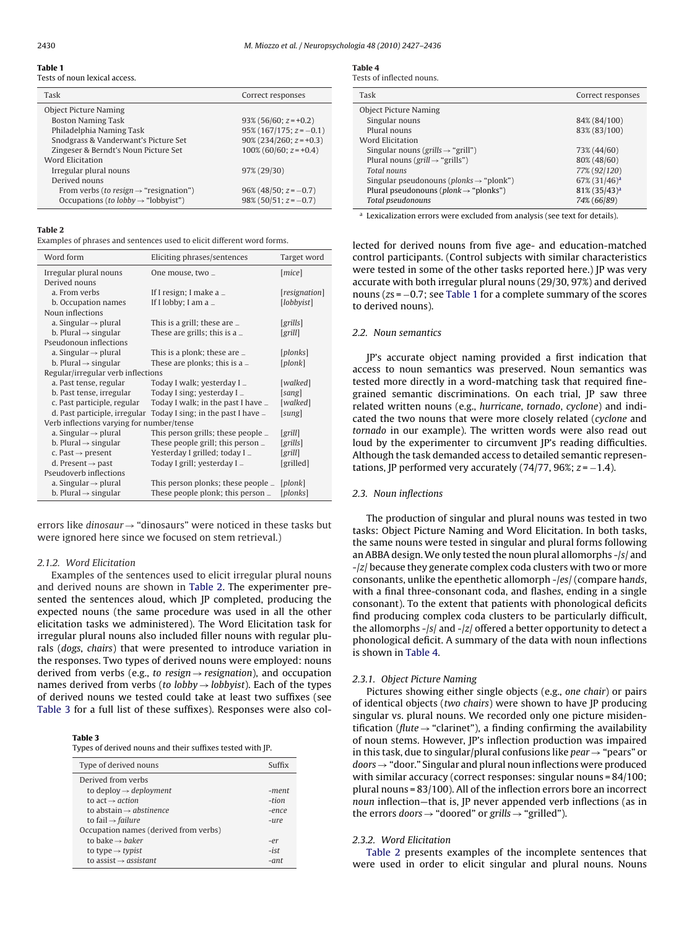#### <span id="page-3-0"></span>2430 M. Miozzo et al. / Neuropsychologia *48 (2010) 2427–2436*

# **Table 1**

Tests of noun lexical access.

| Correct responses             |
|-------------------------------|
|                               |
| $93\%$ (56/60; $z = +0.2$ )   |
| $95\%$ (167/175; $z = -0.1$ ) |
| $90\% (234/260; z=+0.3)$      |
| $100\%$ (60/60; $z = +0.4$ )  |
|                               |
| 97% (29/30)                   |
|                               |
| $96\%$ (48/50; $z = -0.7$ )   |
| $98\%$ (50/51; $z = -0.7$ )   |
|                               |

#### **Table 2**

Examples of phrases and sentences used to elicit different word forms.

|                                           | Word form                        | Eliciting phrases/sentences                               | Target word                                                                                  |
|-------------------------------------------|----------------------------------|-----------------------------------------------------------|----------------------------------------------------------------------------------------------|
|                                           | Irregular plural nouns           | One mouse, two -                                          | [mice]                                                                                       |
|                                           | Derived nouns                    |                                                           |                                                                                              |
|                                           | a. From verbs                    | If I resign; I make a $=$                                 | [resignation]                                                                                |
|                                           | b. Occupation names              | If I lobby; I am a $=$                                    | [lobbyist]                                                                                   |
|                                           | Noun inflections                 |                                                           |                                                                                              |
|                                           | a. Singular $\rightarrow$ plural | This is a grill; these are $=$                            | $\left[\right]$                                                                              |
|                                           | b. Plural $\rightarrow$ singular | These are grills; this is a $=$                           | $\left[\n\begin{bmatrix}\n\frac{1}{2} \\ \frac{1}{2} \\ \frac{1}{2}\n\end{bmatrix}\n\right]$ |
|                                           | Pseudonoun inflections           |                                                           |                                                                                              |
|                                           | a. Singular $\rightarrow$ plural | This is a plonk; these are $\overline{\phantom{a}}$       | [planks]                                                                                     |
|                                           | b. Plural $\rightarrow$ singular | These are plonks; this is a $=$                           | [plonk]                                                                                      |
| Regular/irregular verb inflections        |                                  |                                                           |                                                                                              |
|                                           | a. Past tense, regular           | Today I walk; yesterday I _                               | [walked]                                                                                     |
|                                           | b. Past tense, irregular         | Today I sing; yesterday I _                               | [sang]                                                                                       |
|                                           | c. Past participle, regular      | Today I walk; in the past I have $=$                      | [walked]                                                                                     |
|                                           | d. Past participle, irregular    | Today I sing; in the past I have $\overline{\phantom{a}}$ | [sung]                                                                                       |
| Verb inflections varying for number/tense |                                  |                                                           |                                                                                              |
|                                           | a. Singular $\rightarrow$ plural | This person grills; these people $\overline{\phantom{a}}$ | $\left[\n\begin{bmatrix}\n\frac{1}{2} \\ \frac{1}{2} \\ \frac{1}{2}\n\end{bmatrix}\n\right]$ |
|                                           | b. Plural $\rightarrow$ singular | These people grill; this person $\overline{\phantom{a}}$  | $\left[\text{grills}\right]$                                                                 |
|                                           | c. Past $\rightarrow$ present    | Yesterday I grilled; today I _                            | $\left[\n\begin{bmatrix}\n\frac{1}{2} \\ \frac{1}{2} \\ \frac{1}{2}\n\end{bmatrix}\n\right]$ |
|                                           | d. Present $\rightarrow$ past    | Today I grill; yesterday I _                              | [grilled]                                                                                    |
|                                           | Pseudoverb inflections           |                                                           |                                                                                              |
|                                           | a. Singular $\rightarrow$ plural | This person plonks; these people $=$                      | [plonk]                                                                                      |
|                                           | b. Plural $\rightarrow$ singular | These people plonk; this person $=$                       | [planks]                                                                                     |
|                                           |                                  |                                                           |                                                                                              |

errors like dinosaur  $\rightarrow$  "dinosaurs" were noticed in these tasks but were ignored here since we focused on stem retrieval.)

#### 2.1.2. Word Elicitation

Examples of the sentences used to elicit irregular plural nouns and derived nouns are shown in Table 2. The experimenter presented the sentences aloud, which JP completed, producing the expected nouns (the same procedure was used in all the other elicitation tasks we administered). The Word Elicitation task for irregular plural nouns also included filler nouns with regular plurals (dogs, chairs) that were presented to introduce variation in the responses. Two types of derived nouns were employed: nouns derived from verbs (e.g., to resign $\rightarrow$  resignation), and occupation names derived from verbs (to lobby  $\rightarrow$  lobbyist). Each of the types of derived nouns we tested could take at least two suffixes (see Table 3 for a full list of these suffixes). Responses were also col-

#### **Table 3**

Types of derived nouns and their suffixes tested with JP.

| Type of derived nouns                 | $\mathsf{C}_{11}$ ffiv |
|---------------------------------------|------------------------|
| Derived from verbs                    |                        |
| to deploy $\rightarrow$ deployment    | $-ment$                |
| to $act \rightarrow action$           | -tion                  |
| to abstain $\rightarrow$ abstinence   | -ence                  |
| to fail $\rightarrow$ failure         | $-1$ <i>re</i>         |
| Occupation names (derived from verbs) |                        |
| to bake $\rightarrow$ baker           | $-er$                  |
| to type $\rightarrow$ typist          | $-$ <i>ist</i>         |
| to assist $\rightarrow$ assistant     | $-ant$                 |

# **Table 4**

| Task                                                | Correct responses        |  |
|-----------------------------------------------------|--------------------------|--|
| <b>Object Picture Naming</b>                        |                          |  |
| Singular nouns                                      | 84% (84/100)             |  |
| Plural nouns                                        | 83% (83/100)             |  |
| <b>Word Elicitation</b>                             |                          |  |
| Singular nouns (grills $\rightarrow$ "grill")       | 73% (44/60)              |  |
| Plural nouns (grill $\rightarrow$ "grills")         | 80% (48/60)              |  |
| Total nouns                                         | 77% (92/120)             |  |
| Singular pseudonouns (plonks $\rightarrow$ "plonk") | 67% (31/46) <sup>a</sup> |  |
| Plural pseudonouns (plonk $\rightarrow$ "plonks")   | $81\% (35/43)a$          |  |
| Total pseudonouns                                   | 74% (66/89)              |  |

<sup>a</sup> Lexicalization errors were excluded from analysis (see text for details).

lected for derived nouns from five age- and education-matched control participants. (Control subjects with similar characteristics were tested in some of the other tasks reported here.) JP was very accurate with both irregular plural nouns (29/30, 97%) and derived nouns (zs = −0.7; see Table 1 for a complete summary of the scores to derived nouns).

#### 2.2. Noun semantics

JP's accurate object naming provided a first indication that access to noun semantics was preserved. Noun semantics was tested more directly in a word-matching task that required finegrained semantic discriminations. On each trial, JP saw three related written nouns (e.g., hurricane, tornado, cyclone) and indicated the two nouns that were more closely related (cyclone and tornado in our example). The written words were also read out loud by the experimenter to circumvent IP's reading difficulties. Although the task demanded access to detailed semantic representations, JP performed very accurately (74/77, 96%;  $z = -1.4$ ).

#### 2.3. Noun inflections

The production of singular and plural nouns was tested in two tasks: Object Picture Naming and Word Elicitation. In both tasks, the same nouns were tested in singular and plural forms following an ABBA design. We only tested the noun plural allomorphs -/s/ and -/z/ because they generate complex coda clusters with two or more consonants, unlike the epenthetic allomorph -/es/ (compare hands, with a final three-consonant coda, and flashes, ending in a single consonant). To the extent that patients with phonological deficits find producing complex coda clusters to be particularly difficult, the allomorphs  $-|s|$  and  $-|z|$  offered a better opportunity to detect a phonological deficit. A summary of the data with noun inflections is shown in Table 4.

#### 2.3.1. Object Picture Naming

Pictures showing either single objects (e.g., one chair) or pairs of identical objects (two chairs) were shown to have JP producing singular vs. plural nouns. We recorded only one picture misidentification (flute  $\rightarrow$  "clarinet"), a finding confirming the availability of noun stems. However, JP's inflection production was impaired in this task, due to singular/plural confusions like  $pear \rightarrow "pears"$  or  $doors \rightarrow "door."$  Singular and plural noun inflections were produced with similar accuracy (correct responses: singular nouns = 84/100; plural nouns = 83/100). All of the inflection errors bore an incorrect noun inflection—that is, JP never appended verb inflections (as in the errors doors  $\rightarrow$  "doored" or grills  $\rightarrow$  "grilled").

#### 2.3.2. Word Elicitation

Table 2 presents examples of the incomplete sentences that were used in order to elicit singular and plural nouns. Nouns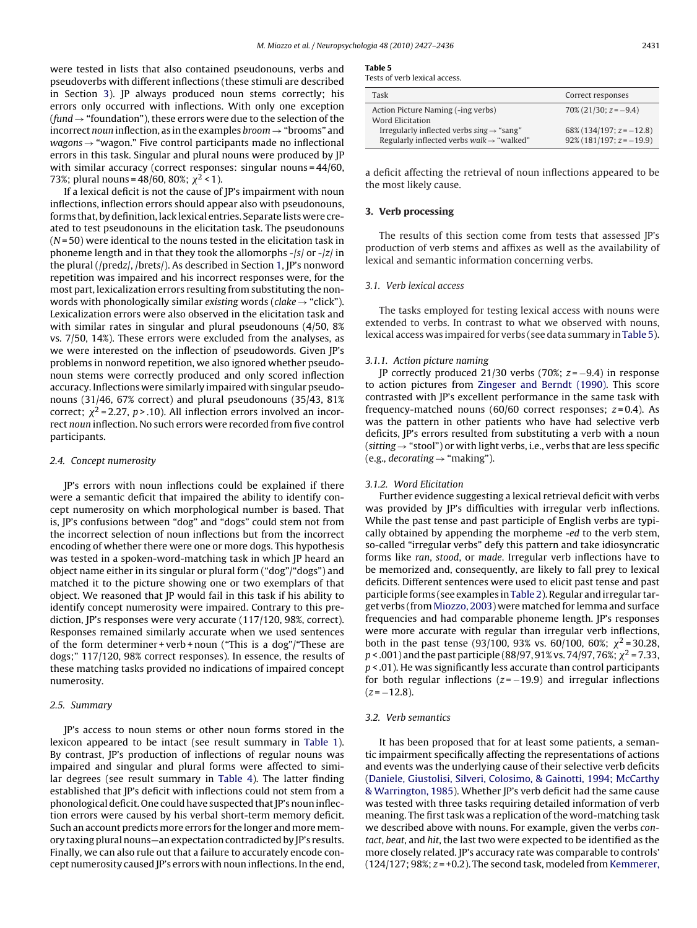were tested in lists that also contained pseudonouns, verbs and pseudoverbs with different inflections (these stimuli are described in Section 3). JP always produced noun stems correctly; his errors only occurred with inflections. With only one exception (fund  $\rightarrow$  "foundation"), these errors were due to the selection of the incorrect noun inflection, as in the examples broom  $\rightarrow$  "brooms" and  $wagons \rightarrow$  "wagon." Five control participants made no inflectional errors in this task. Singular and plural nouns were produced by JP with similar accuracy (correct responses: singular nouns = 44/60, 73%; plural nouns = 48/60, 80%;  $\chi^2$  < 1).

If a lexical deficit is not the cause of JP's impairment with noun inflections, inflection errors should appear also with pseudonouns, forms that, by definition, lack lexical entries. Separate lists were created to test pseudonouns in the elicitation task. The pseudonouns  $(N=50)$  were identical to the nouns tested in the elicitation task in phoneme length and in that they took the allomorphs -/s/ or -/z/ in the plural (/predz/, /brets/). As described in Section [1, J](#page-2-0)P's nonword repetition was impaired and his incorrect responses were, for the most part, lexicalization errors resulting from substituting the nonwords with phonologically similar *existing* words (*clake*  $\rightarrow$  "click"). Lexicalization errors were also observed in the elicitation task and with similar rates in singular and plural pseudonouns (4/50, 8% vs. 7/50, 14%). These errors were excluded from the analyses, as we were interested on the inflection of pseudowords. Given JP's problems in nonword repetition, we also ignored whether pseudonoun stems were correctly produced and only scored inflection accuracy. Inflections were similarly impaired with singular pseudonouns (31/46, 67% correct) and plural pseudonouns (35/43, 81% correct;  $\chi^2$  = 2.27, p > .10). All inflection errors involved an incorrect noun inflection. No such errors were recorded from five control participants.

#### 2.4. Concept numerosity

JP's errors with noun inflections could be explained if there were a semantic deficit that impaired the ability to identify concept numerosity on which morphological number is based. That is, JP's confusions between "dog" and "dogs" could stem not from the incorrect selection of noun inflections but from the incorrect encoding of whether there were one or more dogs. This hypothesis was tested in a spoken-word-matching task in which JP heard an object name either in its singular or plural form ("dog"/"dogs") and matched it to the picture showing one or two exemplars of that object. We reasoned that JP would fail in this task if his ability to identify concept numerosity were impaired. Contrary to this prediction, JP's responses were very accurate (117/120, 98%, correct). Responses remained similarly accurate when we used sentences of the form determiner + verb + noun ("This is a dog"/"These are dogs;" 117/120, 98% correct responses). In essence, the results of these matching tasks provided no indications of impaired concept numerosity.

# 2.5. Summary

JP's access to noun stems or other noun forms stored in the lexicon appeared to be intact (see result summary in [Table 1\).](#page-3-0) By contrast, JP's production of inflections of regular nouns was impaired and singular and plural forms were affected to similar degrees (see result summary in [Table 4\).](#page-3-0) The latter finding established that JP's deficit with inflections could not stem from a phonological deficit. One could have suspected that JP's noun inflection errors were caused by his verbal short-term memory deficit. Such an account predicts more errors for the longer and more memory taxing plural nouns—an expectation contradicted by JP's results. Finally, we can also rule out that a failure to accurately encode concept numerosity caused JP's errors with noun inflections. In the end,

#### **Table 5**

Tests of verb lexical access.

| Task                                                    | Correct responses              |
|---------------------------------------------------------|--------------------------------|
| Action Picture Naming (-ing verbs)                      | $70\%$ (21/30; $z = -9.4$ )    |
| Word Elicitation                                        |                                |
| Irregularly inflected verbs $\sin g \rightarrow$ "sang" | $68\%$ (134/197; $z = -12.8$ ) |
| Regularly inflected verbs walk $\rightarrow$ "walked"   | $92\%$ (181/197; $z = -19.9$ ) |
|                                                         |                                |

a deficit affecting the retrieval of noun inflections appeared to be the most likely cause.

# **3. Verb processing**

The results of this section come from tests that assessed JP's production of verb stems and affixes as well as the availability of lexical and semantic information concerning verbs.

#### 3.1. Verb lexical access

The tasks employed for testing lexical access with nouns were extended to verbs. In contrast to what we observed with nouns, lexical access was impaired for verbs (see data summary in Table 5).

# 3.1.1. Action picture naming

JP correctly produced 21/30 verbs (70%;  $z = -9.4$ ) in response to action pictures from [Zingeser and Berndt \(1990\).](#page-9-0) This score contrasted with JP's excellent performance in the same task with frequency-matched nouns (60/60 correct responses;  $z = 0.4$ ). As was the pattern in other patients who have had selective verb deficits, JP's errors resulted from substituting a verb with a noun (sitting  $\rightarrow$  "stool") or with light verbs, i.e., verbs that are less specific (e.g., decorating  $\rightarrow$  "making").

# 3.1.2. Word Elicitation

Further evidence suggesting a lexical retrieval deficit with verbs was provided by JP's difficulties with irregular verb inflections. While the past tense and past participle of English verbs are typically obtained by appending the morpheme -ed to the verb stem, so-called "irregular verbs" defy this pattern and take idiosyncratic forms like ran, stood, or made. Irregular verb inflections have to be memorized and, consequently, are likely to fall prey to lexical deficits. Different sentences were used to elicit past tense and past participle forms (see examples in[Table 2\).](#page-3-0) Regular and irregular target verbs (from [Miozzo, 2003\) w](#page-8-0)ere matched for lemma and surface frequencies and had comparable phoneme length. JP's responses were more accurate with regular than irregular verb inflections, both in the past tense (93/100, 93% vs. 60/100, 60%;  $\chi^2$  = 30.28, p < .001) and the past participle (88/97, 91% vs. 74/97, 76%;  $\chi^2$  = 7.33,  $p < 0.01$ ). He was significantly less accurate than control participants for both regular inflections  $(z = -19.9)$  and irregular inflections  $(z = -12.8)$ .

#### 3.2. Verb semantics

It has been proposed that for at least some patients, a semantic impairment specifically affecting the representations of actions and events was the underlying cause of their selective verb deficits [\(Daniele, Giustolisi, Silveri, Colosimo, & Gainotti, 1994; McCarthy](#page-8-0) [& Warrington, 1985\).](#page-8-0) Whether JP's verb deficit had the same cause was tested with three tasks requiring detailed information of verb meaning. The first task was a replication of the word-matching task we described above with nouns. For example, given the verbs contact, beat, and hit, the last two were expected to be identified as the more closely related. JP's accuracy rate was comparable to controls'  $(124/127; 98\%; z = +0.2)$ . The second task, modeled from [Kemmerer,](#page-8-0)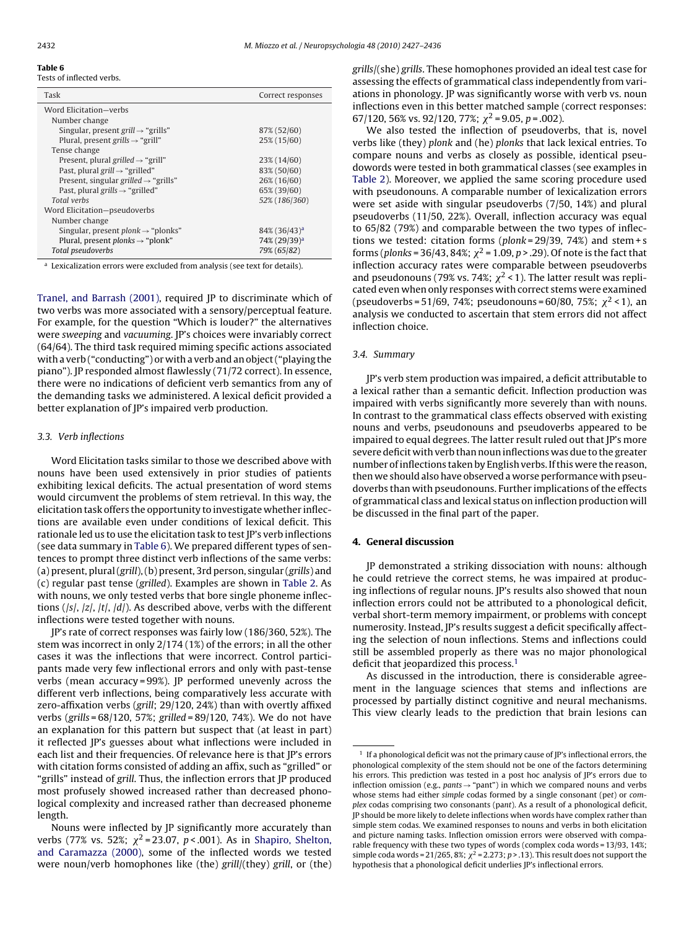Tests of inflected verbs.

| Task                                             | Correct responses           |
|--------------------------------------------------|-----------------------------|
| Word Elicitation-verbs                           |                             |
| Number change                                    |                             |
| Singular, present grill $\rightarrow$ "grills"   | 87% (52/60)                 |
| Plural, present grills $\rightarrow$ "grill"     | 25% (15/60)                 |
| Tense change                                     |                             |
| Present, plural grilled $\rightarrow$ "grill"    | 23% (14/60)                 |
| Past, plural grill $\rightarrow$ "grilled"       | 83% (50/60)                 |
| Present, singular grilled $\rightarrow$ "grills" | 26% (16/60)                 |
| Past, plural grills $\rightarrow$ "grilled"      | 65% (39/60)                 |
| Total verbs                                      | 52% (186/360)               |
| Word Elicitation-pseudoverbs                     |                             |
| Number change                                    |                             |
| Singular, present plonk $\rightarrow$ "plonks"   | $84\%$ (36/43) <sup>a</sup> |
| Plural, present plonks $\rightarrow$ "plonk"     | 74% (29/39) <sup>a</sup>    |
| Total pseudoverbs                                | 79% (65/82)                 |

<sup>a</sup> Lexicalization errors were excluded from analysis (see text for details).

[Tranel, and Barrash \(2001\),](#page-8-0) required JP to discriminate which of two verbs was more associated with a sensory/perceptual feature. For example, for the question "Which is louder?" the alternatives were sweeping and vacuuming. JP's choices were invariably correct (64/64). The third task required miming specific actions associated with a verb ("conducting") or with a verb and an object ("playing the piano"). JP responded almost flawlessly (71/72 correct). In essence, there were no indications of deficient verb semantics from any of the demanding tasks we administered. A lexical deficit provided a better explanation of JP's impaired verb production.

#### 3.3. Verb inflections

Word Elicitation tasks similar to those we described above with nouns have been used extensively in prior studies of patients exhibiting lexical deficits. The actual presentation of word stems would circumvent the problems of stem retrieval. In this way, the elicitation task offers the opportunity to investigate whether inflections are available even under conditions of lexical deficit. This rationale led us to use the elicitation task to test JP's verb inflections (see data summary in Table 6). We prepared different types of sentences to prompt three distinct verb inflections of the same verbs: (a) present, plural (grill), (b) present, 3rd person, singular (grills) and (c) regular past tense (grilled). Examples are shown in [Table 2.](#page-3-0) As with nouns, we only tested verbs that bore single phoneme inflections (/s/, /z/, /t/, /d/). As described above, verbs with the different inflections were tested together with nouns.

JP's rate of correct responses was fairly low (186/360, 52%). The stem was incorrect in only 2/174 (1%) of the errors; in all the other cases it was the inflections that were incorrect. Control participants made very few inflectional errors and only with past-tense verbs (mean accuracy = 99%). JP performed unevenly across the different verb inflections, being comparatively less accurate with zero-affixation verbs (grill; 29/120, 24%) than with overtly affixed verbs (grills = 68/120, 57%; grilled = 89/120, 74%). We do not have an explanation for this pattern but suspect that (at least in part) it reflected JP's guesses about what inflections were included in each list and their frequencies. Of relevance here is that JP's errors with citation forms consisted of adding an affix, such as "grilled" or "grills" instead of grill. Thus, the inflection errors that JP produced most profusely showed increased rather than decreased phonological complexity and increased rather than decreased phoneme length.

Nouns were inflected by JP significantly more accurately than verbs (77% vs. 52%;  $\chi^2$ =23.07, p<.001). As in [Shapiro, Shelton,](#page-8-0) [and Caramazza \(2000\),](#page-8-0) some of the inflected words we tested were noun/verb homophones like (the) grill/(they) grill, or (the) grills/(she) grills. These homophones provided an ideal test case for assessing the effects of grammatical class independently from variations in phonology. JP was significantly worse with verb vs. noun inflections even in this better matched sample (correct responses: 67/120, 56% vs. 92/120, 77%;  $\chi^2$  = 9.05, p = .002).

We also tested the inflection of pseudoverbs, that is, novel verbs like (they) plonk and (he) plonks that lack lexical entries. To compare nouns and verbs as closely as possible, identical pseudowords were tested in both grammatical classes (see examples in [Table 2\).](#page-3-0) Moreover, we applied the same scoring procedure used with pseudonouns. A comparable number of lexicalization errors were set aside with singular pseudoverbs (7/50, 14%) and plural pseudoverbs (11/50, 22%). Overall, inflection accuracy was equal to 65/82 (79%) and comparable between the two types of inflections we tested: citation forms ( $plonk = 29/39$ , 74%) and stem + s forms (plonks = 36/43, 84%;  $\chi^2$  = 1.09, p > .29). Of note is the fact that inflection accuracy rates were comparable between pseudoverbs and pseudonouns (79% vs. 74%;  $\chi^2$  < 1). The latter result was replicated even when only responses with correct stems were examined (pseudoverbs = 51/69, 74%; pseudonouns = 60/80, 75%;  $\chi^2$  < 1), an analysis we conducted to ascertain that stem errors did not affect inflection choice.

# 3.4. Summary

JP's verb stem production was impaired, a deficit attributable to a lexical rather than a semantic deficit. Inflection production was impaired with verbs significantly more severely than with nouns. In contrast to the grammatical class effects observed with existing nouns and verbs, pseudonouns and pseudoverbs appeared to be impaired to equal degrees. The latter result ruled out that JP's more severe deficit with verb than noun inflections was due to the greater number of inflections taken by English verbs. If this were the reason, then we should also have observed a worse performance with pseudoverbs than with pseudonouns. Further implications of the effects of grammatical class and lexical status on inflection production will be discussed in the final part of the paper.

#### **4. General discussion**

JP demonstrated a striking dissociation with nouns: although he could retrieve the correct stems, he was impaired at producing inflections of regular nouns. IP's results also showed that noun inflection errors could not be attributed to a phonological deficit, verbal short-term memory impairment, or problems with concept numerosity. Instead, JP's results suggest a deficit specifically affecting the selection of noun inflections. Stems and inflections could still be assembled properly as there was no major phonological deficit that jeopardized this process.<sup>1</sup>

As discussed in the introduction, there is considerable agreement in the language sciences that stems and inflections are processed by partially distinct cognitive and neural mechanisms. This view clearly leads to the prediction that brain lesions can

 $1$  If a phonological deficit was not the primary cause of  $[**P**'s$  inflectional errors, the phonological complexity of the stem should not be one of the factors determining his errors. This prediction was tested in a post hoc analysis of JP's errors due to inflection omission (e.g., pants  $\rightarrow$  "pant") in which we compared nouns and verbs whose stems had either simple codas formed by a single consonant (pet) or complex codas comprising two consonants (pant). As a result of a phonological deficit, JP should be more likely to delete inflections when words have complex rather than simple stem codas. We examined responses to nouns and verbs in both elicitation and picture naming tasks. Inflection omission errors were observed with comparable frequency with these two types of words (complex coda words = 13/93, 14%; simple coda words = 21/265, 8%;  $\chi^2$  = 2.273; p > .13). This result does not support the hypothesis that a phonological deficit underlies JP's inflectional errors.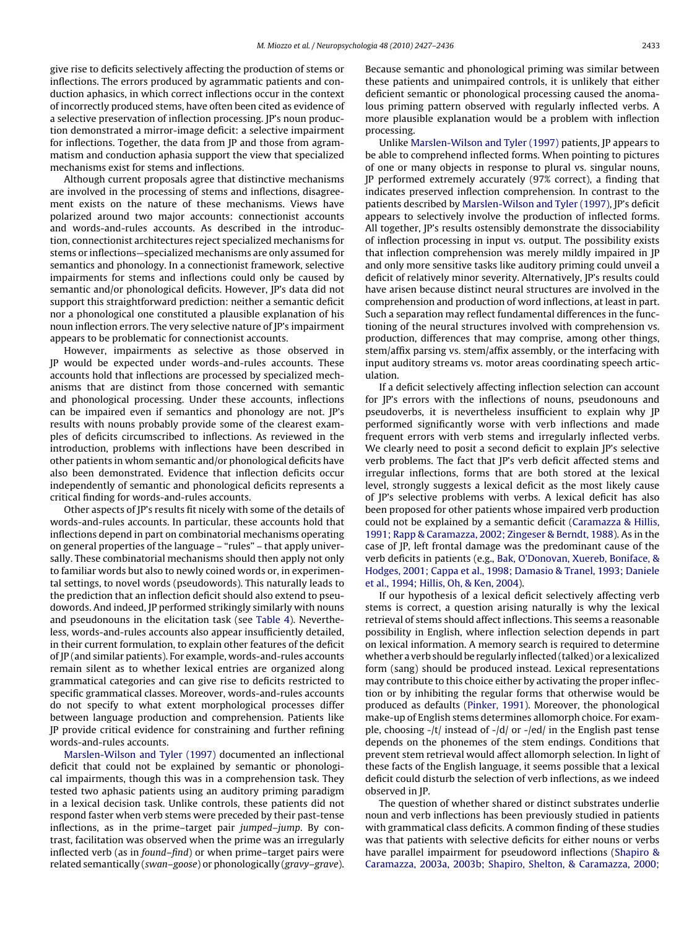give rise to deficits selectively affecting the production of stems or inflections. The errors produced by agrammatic patients and conduction aphasics, in which correct inflections occur in the context of incorrectly produced stems, have often been cited as evidence of a selective preservation of inflection processing. JP's noun production demonstrated a mirror-image deficit: a selective impairment for inflections. Together, the data from JP and those from agrammatism and conduction aphasia support the view that specialized mechanisms exist for stems and inflections.

Although current proposals agree that distinctive mechanisms are involved in the processing of stems and inflections, disagreement exists on the nature of these mechanisms. Views have polarized around two major accounts: connectionist accounts and words-and-rules accounts. As described in the introduction, connectionist architectures reject specialized mechanisms for stems or inflections—specialized mechanisms are only assumed for semantics and phonology. In a connectionist framework, selective impairments for stems and inflections could only be caused by semantic and/or phonological deficits. However, JP's data did not support this straightforward prediction: neither a semantic deficit nor a phonological one constituted a plausible explanation of his noun inflection errors. The very selective nature of JP's impairment appears to be problematic for connectionist accounts.

However, impairments as selective as those observed in JP would be expected under words-and-rules accounts. These accounts hold that inflections are processed by specialized mechanisms that are distinct from those concerned with semantic and phonological processing. Under these accounts, inflections can be impaired even if semantics and phonology are not. JP's results with nouns probably provide some of the clearest examples of deficits circumscribed to inflections. As reviewed in the introduction, problems with inflections have been described in other patients in whom semantic and/or phonological deficits have also been demonstrated. Evidence that inflection deficits occur independently of semantic and phonological deficits represents a critical finding for words-and-rules accounts.

Other aspects of JP's results fit nicely with some of the details of words-and-rules accounts. In particular, these accounts hold that inflections depend in part on combinatorial mechanisms operating on general properties of the language – "rules" – that apply universally. These combinatorial mechanisms should then apply not only to familiar words but also to newly coined words or, in experimental settings, to novel words (pseudowords). This naturally leads to the prediction that an inflection deficit should also extend to pseudowords. And indeed, JP performed strikingly similarly with nouns and pseudonouns in the elicitation task (see [Table 4\).](#page-3-0) Nevertheless, words-and-rules accounts also appear insufficiently detailed, in their current formulation, to explain other features of the deficit of JP (and similar patients). For example, words-and-rules accounts remain silent as to whether lexical entries are organized along grammatical categories and can give rise to deficits restricted to specific grammatical classes. Moreover, words-and-rules accounts do not specify to what extent morphological processes differ between language production and comprehension. Patients like JP provide critical evidence for constraining and further refining words-and-rules accounts.

[Marslen-Wilson and Tyler \(1997\)](#page-8-0) documented an inflectional deficit that could not be explained by semantic or phonological impairments, though this was in a comprehension task. They tested two aphasic patients using an auditory priming paradigm in a lexical decision task. Unlike controls, these patients did not respond faster when verb stems were preceded by their past-tense inflections, as in the prime–target pair jumped–jump. By contrast, facilitation was observed when the prime was an irregularly inflected verb (as in found–find) or when prime–target pairs were related semantically (swan–goose) or phonologically (gravy–grave).

Because semantic and phonological priming was similar between these patients and unimpaired controls, it is unlikely that either deficient semantic or phonological processing caused the anomalous priming pattern observed with regularly inflected verbs. A more plausible explanation would be a problem with inflection processing.

Unlike [Marslen-Wilson and Tyler \(1997\)](#page-8-0) patients, JP appears to be able to comprehend inflected forms. When pointing to pictures of one or many objects in response to plural vs. singular nouns, JP performed extremely accurately (97% correct), a finding that indicates preserved inflection comprehension. In contrast to the patients described by [Marslen-Wilson and Tyler \(1997\), J](#page-8-0)P's deficit appears to selectively involve the production of inflected forms. All together, JP's results ostensibly demonstrate the dissociability of inflection processing in input vs. output. The possibility exists that inflection comprehension was merely mildly impaired in JP and only more sensitive tasks like auditory priming could unveil a deficit of relatively minor severity. Alternatively, JP's results could have arisen because distinct neural structures are involved in the comprehension and production of word inflections, at least in part. Such a separation may reflect fundamental differences in the functioning of the neural structures involved with comprehension vs. production, differences that may comprise, among other things, stem/affix parsing vs. stem/affix assembly, or the interfacing with input auditory streams vs. motor areas coordinating speech articulation.

If a deficit selectively affecting inflection selection can account for JP's errors with the inflections of nouns, pseudonouns and pseudoverbs, it is nevertheless insufficient to explain why JP performed significantly worse with verb inflections and made frequent errors with verb stems and irregularly inflected verbs. We clearly need to posit a second deficit to explain JP's selective verb problems. The fact that JP's verb deficit affected stems and irregular inflections, forms that are both stored at the lexical level, strongly suggests a lexical deficit as the most likely cause of JP's selective problems with verbs. A lexical deficit has also been proposed for other patients whose impaired verb production could not be explained by a semantic deficit [\(Caramazza & Hillis,](#page-8-0) [1991; Rapp & Caramazza, 2002; Zingeser & Berndt, 1988\).](#page-8-0) As in the case of JP, left frontal damage was the predominant cause of the verb deficits in patients (e.g., [Bak, O'Donovan, Xuereb, Boniface, &](#page-8-0) [Hodges, 2001; Cappa et al., 1998; Damasio & Tranel, 1993; Daniele](#page-8-0) [et al., 1994; Hillis, Oh, & Ken, 2004\).](#page-8-0)

If our hypothesis of a lexical deficit selectively affecting verb stems is correct, a question arising naturally is why the lexical retrieval of stems should affect inflections. This seems a reasonable possibility in English, where inflection selection depends in part on lexical information. A memory search is required to determine whether a verb should be regularly inflected (talked) or a lexicalized form (sang) should be produced instead. Lexical representations may contribute to this choice either by activating the proper inflection or by inhibiting the regular forms that otherwise would be produced as defaults ([Pinker, 1991\).](#page-8-0) Moreover, the phonological make-up of English stems determines allomorph choice. For example, choosing -/t/ instead of -/d/ or -/ed/ in the English past tense depends on the phonemes of the stem endings. Conditions that prevent stem retrieval would affect allomorph selection. In light of these facts of the English language, it seems possible that a lexical deficit could disturb the selection of verb inflections, as we indeed observed in JP.

The question of whether shared or distinct substrates underlie noun and verb inflections has been previously studied in patients with grammatical class deficits. A common finding of these studies was that patients with selective deficits for either nouns or verbs have parallel impairment for pseudoword inflections ([Shapiro &](#page-8-0) [Caramazza, 2003a, 2003b; Shapiro, Shelton, & Caramazza, 2000;](#page-8-0)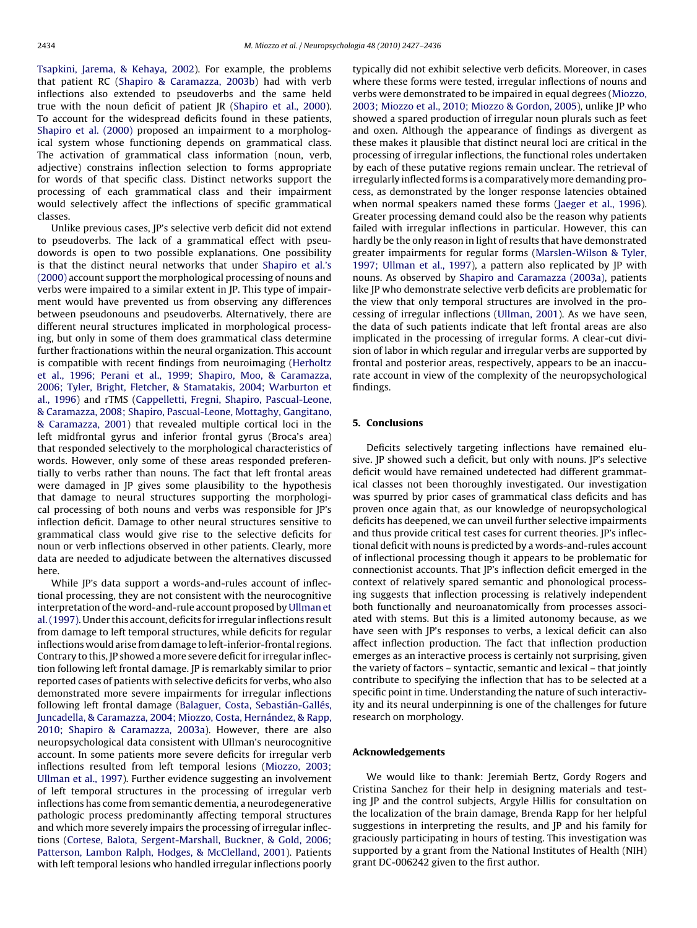[Tsapkini, Jarema, & Kehaya, 2002\).](#page-8-0) For example, the problems that patient RC ([Shapiro & Caramazza, 2003b\)](#page-8-0) had with verb inflections also extended to pseudoverbs and the same held true with the noun deficit of patient JR ([Shapiro et al., 2000\).](#page-8-0) To account for the widespread deficits found in these patients, [Shapiro et al. \(2000\)](#page-8-0) proposed an impairment to a morphological system whose functioning depends on grammatical class. The activation of grammatical class information (noun, verb, adjective) constrains inflection selection to forms appropriate for words of that specific class. Distinct networks support the processing of each grammatical class and their impairment would selectively affect the inflections of specific grammatical classes.

Unlike previous cases, JP's selective verb deficit did not extend to pseudoverbs. The lack of a grammatical effect with pseudowords is open to two possible explanations. One possibility is that the distinct neural networks that under [Shapiro et al.'s](#page-8-0) [\(2000\)](#page-8-0) account support the morphological processing of nouns and verbs were impaired to a similar extent in JP. This type of impairment would have prevented us from observing any differences between pseudonouns and pseudoverbs. Alternatively, there are different neural structures implicated in morphological processing, but only in some of them does grammatical class determine further fractionations within the neural organization. This account is compatible with recent findings from neuroimaging [\(Herholtz](#page-8-0) [et al., 1996; Perani et al., 1999; Shapiro, Moo, & Caramazza,](#page-8-0) [2006; Tyler, Bright, Fletcher, & Stamatakis, 2004; Warburton et](#page-8-0) [al., 1996\)](#page-8-0) and rTMS [\(Cappelletti, Fregni, Shapiro, Pascual-Leone,](#page-8-0) [& Caramazza, 2008; Shapiro, Pascual-Leone, Mottaghy, Gangitano,](#page-8-0) [& Caramazza, 2001\)](#page-8-0) that revealed multiple cortical loci in the left midfrontal gyrus and inferior frontal gyrus (Broca's area) that responded selectively to the morphological characteristics of words. However, only some of these areas responded preferentially to verbs rather than nouns. The fact that left frontal areas were damaged in JP gives some plausibility to the hypothesis that damage to neural structures supporting the morphological processing of both nouns and verbs was responsible for JP's inflection deficit. Damage to other neural structures sensitive to grammatical class would give rise to the selective deficits for noun or verb inflections observed in other patients. Clearly, more data are needed to adjudicate between the alternatives discussed here.

While JP's data support a words-and-rules account of inflectional processing, they are not consistent with the neurocognitive interpretation of the word-and-rule account proposed by [Ullman et](#page-8-0) [al. \(1997\). U](#page-8-0)nder this account, deficits for irregular inflections result from damage to left temporal structures, while deficits for regular inflections would arise from damage to left-inferior-frontal regions. Contrary to this, JP showed a more severe deficit for irregular inflection following left frontal damage. JP is remarkably similar to prior reported cases of patients with selective deficits for verbs, who also demonstrated more severe impairments for irregular inflections following left frontal damage ([Balaguer, Costa, Sebastián-Gallés,](#page-8-0) [Juncadella, & Caramazza, 2004; Miozzo, Costa, Hernández, & Rapp,](#page-8-0) [2010; Shapiro & Caramazza, 2003a\).](#page-8-0) However, there are also neuropsychological data consistent with Ullman's neurocognitive account. In some patients more severe deficits for irregular verb inflections resulted from left temporal lesions ([Miozzo, 2003;](#page-8-0) [Ullman et al., 1997\).](#page-8-0) Further evidence suggesting an involvement of left temporal structures in the processing of irregular verb inflections has come from semantic dementia, a neurodegenerative pathologic process predominantly affecting temporal structures and which more severely impairs the processing of irregular inflections [\(Cortese, Balota, Sergent-Marshall, Buckner, & Gold, 2006;](#page-8-0) [Patterson, Lambon Ralph, Hodges, & McClelland, 2001\).](#page-8-0) Patients with left temporal lesions who handled irregular inflections poorly

typically did not exhibit selective verb deficits. Moreover, in cases where these forms were tested, irregular inflections of nouns and verbs were demonstrated to be impaired in equal degrees [\(Miozzo,](#page-8-0) [2003; Miozzo et al., 2010; Miozzo & Gordon, 2005\),](#page-8-0) unlike JP who showed a spared production of irregular noun plurals such as feet and oxen. Although the appearance of findings as divergent as these makes it plausible that distinct neural loci are critical in the processing of irregular inflections, the functional roles undertaken by each of these putative regions remain unclear. The retrieval of irregularly inflected forms is a comparatively more demanding process, as demonstrated by the longer response latencies obtained when normal speakers named these forms ([Jaeger et al., 1996\).](#page-8-0) Greater processing demand could also be the reason why patients failed with irregular inflections in particular. However, this can hardly be the only reason in light of results that have demonstrated greater impairments for regular forms ([Marslen-Wilson & Tyler,](#page-8-0) [1997; Ullman et al., 1997\),](#page-8-0) a pattern also replicated by JP with nouns. As observed by [Shapiro and Caramazza \(2003a\), p](#page-8-0)atients like JP who demonstrate selective verb deficits are problematic for the view that only temporal structures are involved in the processing of irregular inflections [\(Ullman, 2001\).](#page-8-0) As we have seen, the data of such patients indicate that left frontal areas are also implicated in the processing of irregular forms. A clear-cut division of labor in which regular and irregular verbs are supported by frontal and posterior areas, respectively, appears to be an inaccurate account in view of the complexity of the neuropsychological findings.

#### **5. Conclusions**

Deficits selectively targeting inflections have remained elusive. JP showed such a deficit, but only with nouns. JP's selective deficit would have remained undetected had different grammatical classes not been thoroughly investigated. Our investigation was spurred by prior cases of grammatical class deficits and has proven once again that, as our knowledge of neuropsychological deficits has deepened, we can unveil further selective impairments and thus provide critical test cases for current theories. JP's inflectional deficit with nouns is predicted by a words-and-rules account of inflectional processing though it appears to be problematic for connectionist accounts. That JP's inflection deficit emerged in the context of relatively spared semantic and phonological processing suggests that inflection processing is relatively independent both functionally and neuroanatomically from processes associated with stems. But this is a limited autonomy because, as we have seen with JP's responses to verbs, a lexical deficit can also affect inflection production. The fact that inflection production emerges as an interactive process is certainly not surprising, given the variety of factors – syntactic, semantic and lexical – that jointly contribute to specifying the inflection that has to be selected at a specific point in time. Understanding the nature of such interactivity and its neural underpinning is one of the challenges for future research on morphology.

#### **Acknowledgements**

We would like to thank: Jeremiah Bertz, Gordy Rogers and Cristina Sanchez for their help in designing materials and testing JP and the control subjects, Argyle Hillis for consultation on the localization of the brain damage, Brenda Rapp for her helpful suggestions in interpreting the results, and JP and his family for graciously participating in hours of testing. This investigation was supported by a grant from the National Institutes of Health (NIH) grant DC-006242 given to the first author.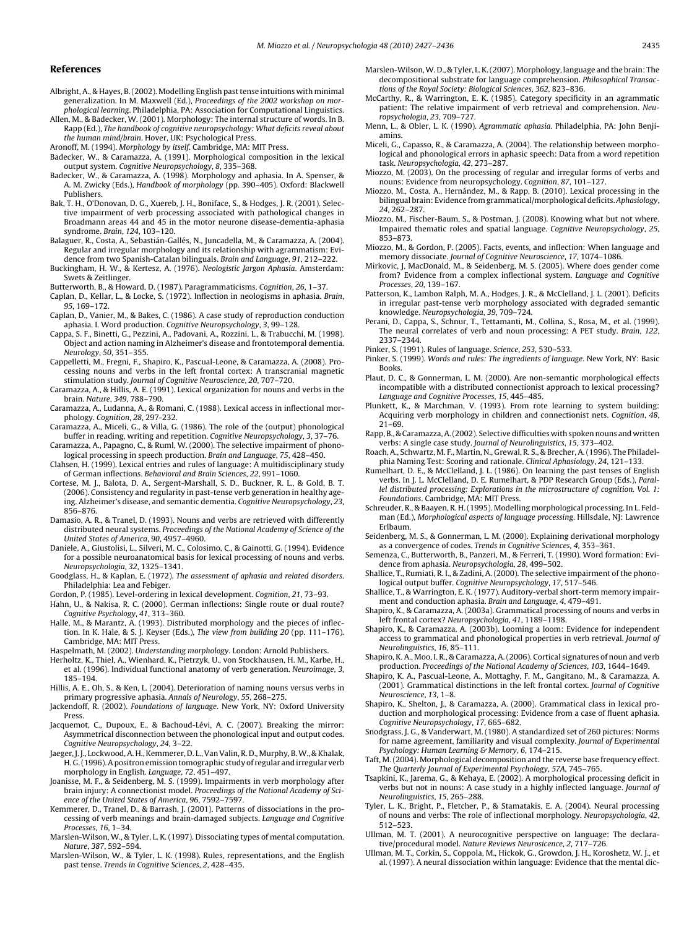#### <span id="page-8-0"></span>**References**

- Albright, A., & Hayes, B. (2002). Modelling English past tense intuitions with minimal generalization. In M. Maxwell (Ed.), Proceedings of the 2002 workshop on morphological learning. Philadelphia, PA: Association for Computational Linguistics.
- Allen, M., & Badecker, W. (2001). Morphology: The internal structure of words. In B. Rapp (Ed.), The handbook of cognitive neuropsychology: What deficits reveal about the human mind/brain. Hover, UK: Psychological Press.
- Aronoff, M. (1994). Morphology by itself. Cambridge, MA: MIT Press.
- Badecker, W., & Caramazza, A. (1991). Morphological composition in the lexical output system. Cognitive Neuropsychology, 8, 335–368.
- Badecker, W., & Caramazza, A. (1998). Morphology and aphasia. In A. Spenser, & A. M. Zwicky (Eds.), Handbook of morphology (pp. 390–405). Oxford: Blackwell Publishers.
- Bak, T. H., O'Donovan, D. G., Xuereb, J. H., Boniface, S., & Hodges, J. R. (2001). Selective impairment of verb processing associated with pathological changes in Broadmann areas 44 and 45 in the motor neurone disease-dementia-aphasia syndrome. Brain, 124, 103–120.
- Balaguer, R., Costa, A., Sebastián-Gallés, N., Juncadella, M., & Caramazza, A. (2004). Regular and irregular morphology and its relationship with agrammatism: Evidence from two Spanish-Catalan bilinguals. Brain and Language, 91, 212–222.
- Buckingham, H. W., & Kertesz, A. (1976). Neologistic Jargon Aphasia. Amsterdam: Swets & Zeitlinger.
- Butterworth, B., & Howard, D. (1987). Paragrammaticisms. Cognition, 26, 1–37. Caplan, D., Kellar, L., & Locke, S. (1972). Inflection in neologisms in aphasia. Brain, 95, 169–172.
- Caplan, D., Vanier, M., & Bakes, C. (1986). A case study of reproduction conduction aphasia. I. Word production. Cognitive Neuropsychology, 3, 99–128.
- Cappa, S. F., Binetti, G., Pezzini, A., Padovani, A., Rozzini, L., & Trabucchi, M. (1998). Object and action naming in Alzheimer's disease and frontotemporal dementia. Neurology, 50, 351–355.
- Cappelletti, M., Fregni, F., Shapiro, K., Pascual-Leone, & Caramazza, A. (2008). Processing nouns and verbs in the left frontal cortex: A transcranial magnetic stimulation study. Journal of Cognitive Neuroscience, 20, 707–720.

Caramazza, A., & Hillis, A. E. (1991). Lexical organization for nouns and verbs in the brain. Nature, 349, 788–790.

Caramazza, A., Ludanna, A., & Romani, C. (1988). Lexical access in inflectional morphology. Cognition, 28, 297-232.

- Caramazza, A., Miceli, G., & Villa, G. (1986). The role of the (output) phonological buffer in reading, writing and repetition. Cognitive Neuropsychology, 3, 37–76.
- Caramazza, A., Papagno, C., & Ruml, W. (2000). The selective impairment of phonological processing in speech production. Brain and Language, 75, 428–450.
- Clahsen, H. (1999). Lexical entries and rules of language: A multidisciplinary study of German inflections. Behavioral and Brain Sciences, 22, 991–1060.
- Cortese, M. J., Balota, D. A., Sergent-Marshall, S. D., Buckner, R. L., & Gold, B. T. (2006). Consistency and regularity in past-tense verb generation in healthy ageing. Alzheimer's disease, and semantic dementia. Cognitive Neuropsychology, 23, 856–876.
- Damasio, A. R., & Tranel, D. (1993). Nouns and verbs are retrieved with differently distributed neural systems. Proceedings of the National Academy of Science of the United States of America, 90, 4957–4960.
- Daniele, A., Giustolisi, L., Silveri, M. C., Colosimo, C., & Gainotti, G. (1994). Evidence for a possible neuroanatomical basis for lexical processing of nouns and verbs. Neuropsychologia, 32, 1325–1341.
- Goodglass, H., & Kaplan, E. (1972). The assessment of aphasia and related disorders. Philadelphia: Lea and Febiger.
- Gordon, P. (1985). Level-ordering in lexical development. Cognition, 21, 73–93.
- Hahn, U., & Nakisa, R. C. (2000). German inflections: Single route or dual route? Cognitive Psychology, 41, 313–360.
- Halle, M., & Marantz, A. (1993). Distributed morphology and the pieces of inflection. In K. Hale, & S. J. Keyser (Eds.), The view from building 20 (pp. 111–176). Cambridge, MA: MIT Press.
- Haspelmath, M. (2002). *Understanding morphology.* London: Arnold Publishers.<br>Herholtz, K., Thiel, A., Wienhard, K., Pietrzyk, U., von Stockhausen, H. M., Karbe, H.,
- et al. (1996). Individual functional anatomy of verb generation. Neuroimage, 3, 185–194.
- Hillis, A. E., Oh, S., & Ken, L. (2004). Deterioration of naming nouns versus verbs in primary progressive aphasia. Annals of Neurology, 55, 268–275.
- Jackendoff, R. (2002). Foundations of language. New York, NY: Oxford University Press.
- Jacquemot, C., Dupoux, E., & Bachoud-Lévi, A. C. (2007). Breaking the mirror: Asymmetrical disconnection between the phonological input and output codes. Cognitive Neuropsychology, 24, 3–22.
- Jaeger, J. J., Lockwood, A. H., Kemmerer, D. L., Van Valin, R. D., Murphy, B.W., & Khalak, H. G. (1996). A positron emission tomographic study of regular and irregular verb morphology in English. Language, 72, 451–497.
- Joanisse, M. F., & Seidenberg, M. S. (1999). Impairments in verb morphology after brain injury: A connectionist model. Proceedings of the National Academy of Science of the United States of America, 96, 7592–7597.
- Kemmerer, D., Tranel, D., & Barrash, J. (2001). Patterns of dissociations in the processing of verb meanings and brain-damaged subjects. Language and Cognitive Processes, 16, 1–34.
- Marslen-Wilson, W., & Tyler, L. K. (1997). Dissociating types of mental computation. Nature, 387, 592–594.
- Marslen-Wilson, W., & Tyler, L. K. (1998). Rules, representations, and the English past tense. Trends in Cognitive Sciences, 2, 428–435.
- Marslen-Wilson,W. D., & Tyler, L. K. (2007).Morphology, language and the brain: The decompositional substrate for language comprehension. Philosophical Transactions of the Royal Society: Biological Sciences, 362, 823–836.
- McCarthy, R., & Warrington, E. K. (1985). Category specificity in an agrammatic patient: The relative impairment of verb retrieval and comprehension. Neuropsychologia, 23, 709–727.
- Menn, L., & Obler, L. K. (1990). Agrammatic aphasia. Philadelphia, PA: John Benjiamins.
- Miceli, G., Capasso, R., & Caramazza, A. (2004). The relationship between morphological and phonological errors in aphasic speech: Data from a word repetition task. Neuropsychologia, 42, 273–287.
- Miozzo, M. (2003). On the processing of regular and irregular forms of verbs and nouns: Evidence from neuropsychology. Cognition, 87, 101–127.
- Miozzo, M., Costa, A., Hernández, M., & Rapp, B. (2010). Lexical processing in the bilingual brain: Evidence from grammatical/morphological deficits. Aphasiology, 24, 262–287.
- Miozzo, M., Fischer-Baum, S., & Postman, J. (2008). Knowing what but not where. Impaired thematic roles and spatial language. Cognitive Neuropsychology, 25, 853–873.
- Miozzo, M., & Gordon, P. (2005). Facts, events, and inflection: When language and memory dissociate. Journal of Cognitive Neuroscience, 17, 1074–1086.
- Mirkovic, J, MacDonald, M., & Seidenberg, M. S. (2005). Where does gender come from? Evidence from a complex inflectional system. Language and Cognitive Processes, 20, 139–167.
- Patterson, K., Lambon Ralph, M. A., Hodges, J. R., & McClelland, J. L. (2001). Deficits in irregular past-tense verb morphology associated with degraded semantic knowledge. Neuropsychologia, 39, 709–724.
- Perani, D., Cappa, S., Schnur, T., Tettamanti, M., Collina, S., Rosa, M., et al. (1999). The neural correlates of verb and noun processing: A PET study. Brain, 122, 2337–2344.
- Pinker, S. (1991). Rules of language. Science, 253, 530–533.
- Pinker, S. (1999). Words and rules: The ingredients of language. New York, NY: Basic Books.
- Plaut, D. C., & Gonnerman, L. M. (2000). Are non-semantic morphological effects incompatible with a distributed connectionist approach to lexical processing? Language and Cognitive Processes, 15, 445–485.
- Plunkett, K., & Marchman, V. (1993). From rote learning to system building: Acquiring verb morphology in children and connectionist nets. Cognition, 48, 21–69.
- Rapp, B., & Caramazza, A. (2002). Selective difficulties with spoken nouns and written verbs: A single case study. Journal of Neurolinguistics, 15, 373–402.
- Roach, A., Schwartz, M. F., Martin, N., Grewal, R. S., & Brecher, A. (1996). The Philadelphia Naming Test: Scoring and rationale. Clinical Aphasiology, 24, 121–133.
- Rumelhart, D. E., & McClelland, J. L. (1986). On learning the past tenses of English verbs. In J. L. McClelland, D. E. Rumelhart, & PDP Research Group (Eds.), Parallel distributed processing: Explorations in the microstructure of cognition. Vol. 1: Foundations. Cambridge, MA: MIT Press.
- Schreuder, R., & Baayen, R. H. (1995). Modelling morphological processing. In L. Feldman (Ed.), Morphological aspects of language processing. Hillsdale, NJ: Lawrence Erlbaum.
- Seidenberg, M. S., & Gonnerman, L. M. (2000). Explaining derivational morphology as a convergence of codes. Trends in Cognitive Sciences, 4, 353–361.
- Semenza, C., Butterworth, B., Panzeri, M., & Ferreri, T. (1990). Word formation: Evidence from aphasia. Neuropsychologia, 28, 499–502.
- Shallice, T., Rumiati, R. I., & Zadini, A. (2000). The selective impairment of the phonological output buffer. Cognitive Neuropsychology, 17, 517–546.
- Shallice, T., & Warrington, E. K. (1977). Auditory-verbal short-term memory impairment and conduction aphasia. Brain and Language, 4, 479–491.
- Shapiro, K., & Caramazza, A. (2003a). Grammatical processing of nouns and verbs in left frontal cortex? Neuropsychologia, 41, 1189–1198.
- Shapiro, K., & Caramazza, A. (2003b). Looming a loom: Evidence for independent access to grammatical and phonological properties in verb retrieval. Journal of Neurolinguistics, 16, 85–111.
- Shapiro, K. A., Moo, I. R., & Caramazza, A. (2006). Cortical signatures of noun and verb production. Proceedings of the National Academy of Sciences, 103, 1644–1649.
- Shapiro, K. A., Pascual-Leone, A., Mottaghy, F. M., Gangitano, M., & Caramazza, A. (2001). Grammatical distinctions in the left frontal cortex. Journal of Cognitive Neuroscience, 13, 1–8.
- Shapiro, K., Shelton, J., & Caramazza, A. (2000). Grammatical class in lexical production and morphological processing: Evidence from a case of fluent aphasia. Cognitive Neuropsychology, 17, 665–682.
- Snodgrass, J. G., & Vanderwart, M. (1980). A standardized set of 260 pictures: Norms for name agreement, familiarity and visual complexity. Journal of Experimental Psychology: Human Learning & Memory, 6, 174–215.
- Taft, M. (2004). Morphological decomposition and the reverse base frequency effect. The Quarterly Journal of Experimental Psychology, 57A, 745–765.
- Tsapkini, K., Jarema, G., & Kehaya, E. (2002). A morphological processing deficit in verbs but not in nouns: A case study in a highly inflected language. Journal of Neurolinguistics, 15, 265–288.
- Tyler, L. K., Bright, P., Fletcher, P., & Stamatakis, E. A. (2004). Neural processing of nouns and verbs: The role of inflectional morphology. Neuropsychologia, 42, 512–523.
- Ullman, M. T. (2001). A neurocognitive perspective on language: The declarative/procedural model. Nature Reviews Neurosicence, 2, 717–726.
- Ullman, M. T., Corkin, S., Coppola, M., Hickok, G., Growdon, J. H., Koroshetz, W. J., et al. (1997). A neural dissociation within language: Evidence that the mental dic-